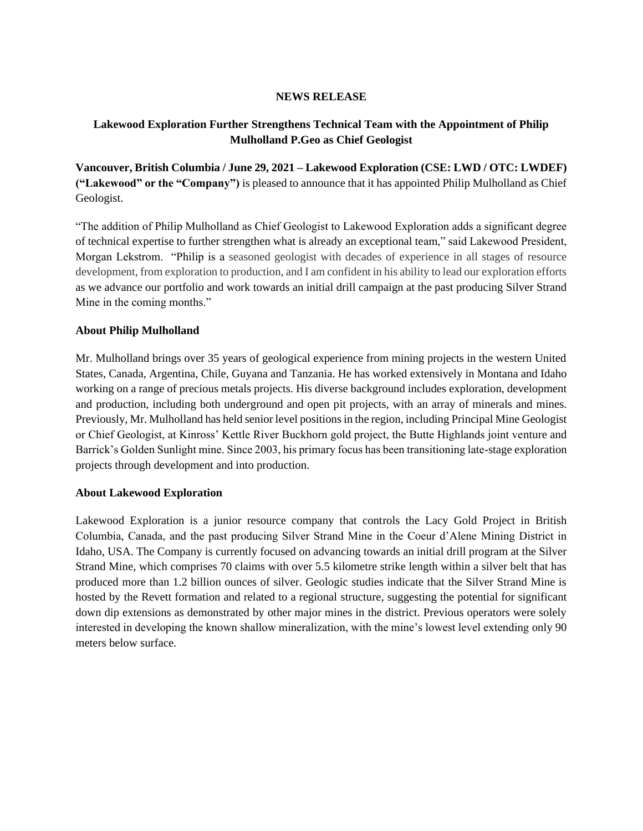## **NEWS RELEASE**

## **Lakewood Exploration Further Strengthens Technical Team with the Appointment of Philip Mulholland P.Geo as Chief Geologist**

**Vancouver, British Columbia / June 29, 2021 – Lakewood Exploration (CSE: LWD / OTC: LWDEF) ("Lakewood" or the "Company")** is pleased to announce that it has appointed Philip Mulholland as Chief Geologist.

"The addition of Philip Mulholland as Chief Geologist to Lakewood Exploration adds a significant degree of technical expertise to further strengthen what is already an exceptional team," said Lakewood President, Morgan Lekstrom. "Philip is a seasoned geologist with decades of experience in all stages of resource development, from exploration to production, and I am confident in his ability to lead our exploration efforts as we advance our portfolio and work towards an initial drill campaign at the past producing Silver Strand Mine in the coming months."

## **About Philip Mulholland**

Mr. Mulholland brings over 35 years of geological experience from mining projects in the western United States, Canada, Argentina, Chile, Guyana and Tanzania. He has worked extensively in Montana and Idaho working on a range of precious metals projects. His diverse background includes exploration, development and production, including both underground and open pit projects, with an array of minerals and mines. Previously, Mr. Mulholland has held senior level positions in the region, including Principal Mine Geologist or Chief Geologist, at Kinross' Kettle River Buckhorn gold project, the Butte Highlands joint venture and Barrick's Golden Sunlight mine. Since 2003, his primary focus has been transitioning late-stage exploration projects through development and into production.

## **About Lakewood Exploration**

Lakewood Exploration is a junior resource company that controls the Lacy Gold Project in British Columbia, Canada, and the past producing Silver Strand Mine in the Coeur d'Alene Mining District in Idaho, USA. The Company is currently focused on advancing towards an initial drill program at the Silver Strand Mine, which comprises 70 claims with over 5.5 kilometre strike length within a silver belt that has produced more than 1.2 billion ounces of silver. Geologic studies indicate that the Silver Strand Mine is hosted by the Revett formation and related to a regional structure, suggesting the potential for significant down dip extensions as demonstrated by other major mines in the district. Previous operators were solely interested in developing the known shallow mineralization, with the mine's lowest level extending only 90 meters below surface.